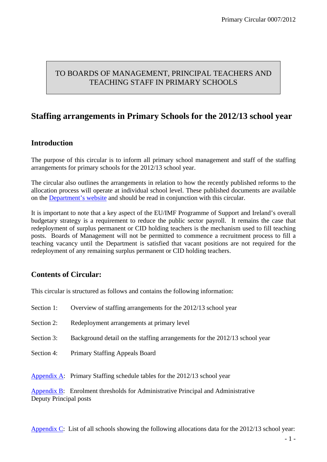# TO BOARDS OF MANAGEMENT, PRINCIPAL TEACHERS AND TEACHING STAFF IN PRIMARY SCHOOLS

# **Staffing arrangements in Primary Schools for the 2012/13 school year**

## **Introduction**

The purpose of this circular is to inform all primary school management and staff of the staffing arrangements for primary schools for the 2012/13 school year.

The circular also outlines the arrangements in relation to how the recently published reforms to the allocation process will operate at individual school level. These published documents are available on the [Department's website](http://www.education.ie/home/home.jsp?pcategory=10815&ecategory=52540&language=EN) and should be read in conjunction with this circular.

It is important to note that a key aspect of the EU/IMF Programme of Support and Ireland's overall budgetary strategy is a requirement to reduce the public sector payroll. It remains the case that redeployment of surplus permanent or CID holding teachers is the mechanism used to fill teaching posts. Boards of Management will not be permitted to commence a recruitment process to fill a teaching vacancy until the Department is satisfied that vacant positions are not required for the redeployment of any remaining surplus permanent or CID holding teachers.

## **Contents of Circular:**

This circular is structured as follows and contains the following information:

| Section 1: | Overview of staffing arrangements for the 2012/13 school year                    |
|------------|----------------------------------------------------------------------------------|
| Section 2: | Redeployment arrangements at primary level                                       |
| Section 3: | Background detail on the staffing arrangements for the 2012/13 school year       |
| Section 4: | <b>Primary Staffing Appeals Board</b>                                            |
|            |                                                                                  |
|            | Appendix A: Primary Staffing schedule tables for the 2012/13 school year         |
|            | Appendix B: Enrolment thresholds for Administrative Principal and Administrative |

Deputy Principal posts

[Appendix C](http://www.education.ie/servlet/blobservlet/cl0007_2012_ta_appendix_c.pdf): List of all schools showing the following allocations data for the 2012/13 school year: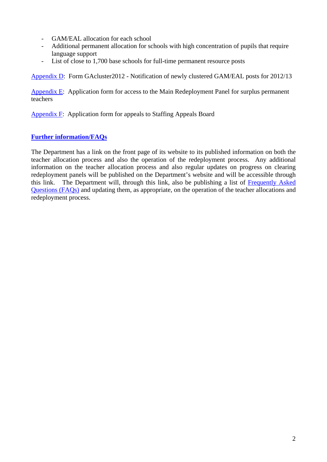- GAM/EAL allocation for each school
- Additional permanent allocation for schools with high concentration of pupils that require language support
- List of close to 1,700 base schools for full-time permanent resource posts

[Appendix D:](http://www.education.ie/servlet/blobservlet/cl0007_2012_ta_appendix_d.pdf) Form GAcluster2012 - Notification of newly clustered GAM/EAL posts for 2012/13

[Appendix E](http://www.education.ie/servlet/blobservlet/cl0007_2012_ta_appendix_e.pdf): Application form for access to the Main Redeployment Panel for surplus permanent teachers

[Appendix F:](http://www.education.ie/servlet/blobservlet/cl0007_2012_ta_appendix_f.pdf) Application form for appeals to Staffing Appeals Board

### **[Further information/FAQs](http://www.education.ie/servlet/blobservlet/cl0007_2012_ta_faq.pdf)**

The Department has a link on the front page of its website to its published information on both the teacher allocation process and also the operation of the redeployment process. Any additional information on the teacher allocation process and also regular updates on progress on clearing redeployment panels will be published on the Department's website and will be accessible through this link. The Department will, through this link, also be publishing a list of [Frequently Asked](http://www.education.ie/servlet/blobservlet/cl0007_2012_ta_faq.pdf)  [Questions \(FAQs\)](http://www.education.ie/servlet/blobservlet/cl0007_2012_ta_faq.pdf) and updating them, as appropriate, on the operation of the teacher allocations and redeployment process.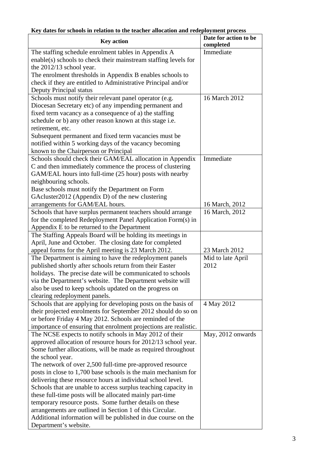| <b>Key action</b>                                                                 | Date for action to be<br>completed |
|-----------------------------------------------------------------------------------|------------------------------------|
| The staffing schedule enrolment tables in Appendix A                              | Immediate                          |
| enable(s) schools to check their mainstream staffing levels for                   |                                    |
| the $2012/13$ school year.                                                        |                                    |
| The enrolment thresholds in Appendix B enables schools to                         |                                    |
| check if they are entitled to Administrative Principal and/or                     |                                    |
| <b>Deputy Principal status</b>                                                    |                                    |
| Schools must notify their relevant panel operator (e.g.                           | 16 March 2012                      |
| Diocesan Secretary etc) of any impending permanent and                            |                                    |
| fixed term vacancy as a consequence of a) the staffing                            |                                    |
| schedule or b) any other reason known at this stage i.e.                          |                                    |
| retirement, etc.                                                                  |                                    |
| Subsequent permanent and fixed term vacancies must be                             |                                    |
| notified within 5 working days of the vacancy becoming                            |                                    |
| known to the Chairperson or Principal                                             |                                    |
| Schools should check their GAM/EAL allocation in Appendix                         | Immediate                          |
| C and then immediately commence the process of clustering                         |                                    |
| GAM/EAL hours into full-time (25 hour) posts with nearby                          |                                    |
| neighbouring schools.                                                             |                                    |
| Base schools must notify the Department on Form                                   |                                    |
| GAcluster2012 (Appendix D) of the new clustering                                  |                                    |
| arrangements for GAM/EAL hours.                                                   | 16 March, 2012                     |
| Schools that have surplus permanent teachers should arrange                       | 16 March, 2012                     |
| for the completed Redeployment Panel Application Form(s) in                       |                                    |
| Appendix E to be returned to the Department                                       |                                    |
| The Staffing Appeals Board will be holding its meetings in                        |                                    |
| April, June and October. The closing date for completed                           |                                    |
| appeal forms for the April meeting is 23 March 2012.                              | 23 March 2012                      |
| The Department is aiming to have the redeployment panels                          | Mid to late April                  |
| published shortly after schools return from their Easter                          | 2012                               |
| holidays. The precise date will be communicated to schools                        |                                    |
| via the Department's website. The Department website will                         |                                    |
| also be used to keep schools updated on the progress on                           |                                    |
| clearing redeployment panels.                                                     |                                    |
| Schools that are applying for developing posts on the basis of                    | 4 May 2012                         |
| their projected enrolments for September 2012 should do so on                     |                                    |
| or before Friday 4 May 2012. Schools are reminded of the                          |                                    |
| importance of ensuring that enrolment projections are realistic.                  |                                    |
| The NCSE expects to notify schools in May 2012 of their                           | May, 2012 onwards                  |
| approved allocation of resource hours for 2012/13 school year.                    |                                    |
| Some further allocations, will be made as required throughout<br>the school year. |                                    |
| The network of over 2,500 full-time pre-approved resource                         |                                    |
| posts in close to 1,700 base schools is the main mechanism for                    |                                    |
| delivering these resource hours at individual school level.                       |                                    |
| Schools that are unable to access surplus teaching capacity in                    |                                    |
| these full-time posts will be allocated mainly part-time                          |                                    |
| temporary resource posts. Some further details on these                           |                                    |
| arrangements are outlined in Section 1 of this Circular.                          |                                    |
| Additional information will be published in due course on the                     |                                    |
| Department's website.                                                             |                                    |

# **Key dates for schools in relation to the teacher allocation and redeployment process**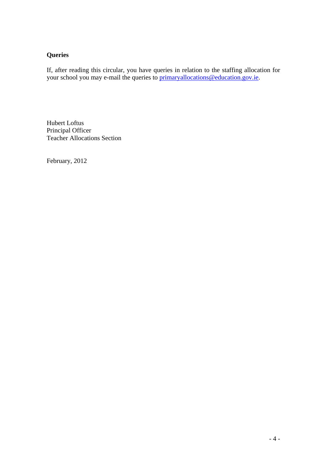## **Queries**

If, after reading this circular, you have queries in relation to the staffing allocation for your school you may e-mail the queries to [primaryallocations@education.gov.ie.](mailto:primaryallocations@education.gov.ie)

Hubert Loftus Principal Officer Teacher Allocations Section

February, 2012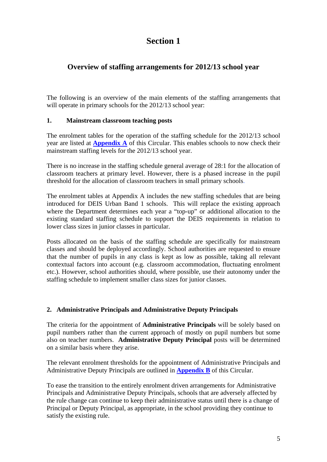## **Overview of staffing arrangements for 2012/13 school year**

The following is an overview of the main elements of the staffing arrangements that will operate in primary schools for the 2012/13 school year:

### **1. Mainstream classroom teaching posts**

The enrolment tables for the operation of the staffing schedule for the 2012/13 school year are listed at **[Appendix A](http://www.education.ie/servlet/blobservlet/cl0007_2012_ta_appendix_a.pdf)** of this Circular. This enables schools to now check their mainstream staffing levels for the 2012/13 school year.

There is no increase in the staffing schedule general average of 28:1 for the allocation of classroom teachers at primary level. However, there is a phased increase in the pupil threshold for the allocation of classroom teachers in small primary schools.

The enrolment tables at Appendix A includes the new staffing schedules that are being introduced for DEIS Urban Band 1 schools. This will replace the existing approach where the Department determines each year a "top-up" or additional allocation to the existing standard staffing schedule to support the DEIS requirements in relation to lower class sizes in junior classes in particular.

Posts allocated on the basis of the staffing schedule are specifically for mainstream classes and should be deployed accordingly. School authorities are requested to ensure that the number of pupils in any class is kept as low as possible, taking all relevant contextual factors into account (e.g. classroom accommodation, fluctuating enrolment etc.). However, school authorities should, where possible, use their autonomy under the staffing schedule to implement smaller class sizes for junior classes.

#### **2. Administrative Principals and Administrative Deputy Principals**

The criteria for the appointment of **Administrative Principals** will be solely based on pupil numbers rather than the current approach of mostly on pupil numbers but some also on teacher numbers. **Administrative Deputy Principal** posts will be determined on a similar basis where they arise.

The relevant enrolment thresholds for the appointment of Administrative Principals and Administrative Deputy Principals are outlined in **[Appendix B](http://www.education.ie/servlet/blobservlet/cl0007_2012_ta_appendix_b.pdf)** of this Circular.

To ease the transition to the entirely enrolment driven arrangements for Administrative Principals and Administrative Deputy Principals, schools that are adversely affected by the rule change can continue to keep their administrative status until there is a change of Principal or Deputy Principal, as appropriate, in the school providing they continue to satisfy the existing rule.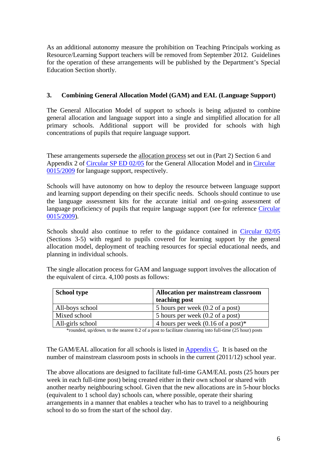As an additional autonomy measure the prohibition on Teaching Principals working as Resource/Learning Support teachers will be removed from September 2012. Guidelines for the operation of these arrangements will be published by the Department's Special Education Section shortly.

#### **3. Combining General Allocation Model (GAM) and EAL (Language Support)**

The General Allocation Model of support to schools is being adjusted to combine general allocation and language support into a single and simplified allocation for all primary schools. Additional support will be provided for schools with high concentrations of pupils that require language support.

These arrangements supersede the allocation process set out in (Part 2) Section 6 and Appendix 2 of [Circular SP ED 02/05](http://www.education.ie/servlet/blobservlet/sp02_05.doc) for the General Allocation Model and in [Circular](http://www.education.ie/servlet/blobservlet/cl0015_2009.doc)  [0015/2009](http://www.education.ie/servlet/blobservlet/cl0015_2009.doc) for language support, respectively.

Schools will have autonomy on how to deploy the resource between language support and learning support depending on their specific needs. Schools should continue to use the language assessment kits for the accurate initial and on-going assessment of language proficiency of pupils that require language support (see for reference Circular [0015/2009](http://www.education.ie/servlet/blobservlet/cl0015_2009.doc)).

Schools should also continue to refer to the guidance contained in [Circular 02/05](http://www.education.ie/servlet/blobservlet/sp02_05.doc) (Sections 3-5) with regard to pupils covered for learning support by the general allocation model, deployment of teaching resources for special educational needs, and planning in individual schools.

The single allocation process for GAM and language support involves the allocation of the equivalent of circa. 4,100 posts as follows:

| <b>School type</b> | Allocation per mainstream classroom  |
|--------------------|--------------------------------------|
|                    | teaching post                        |
| All-boys school    | 5 hours per week (0.2 of a post)     |
| Mixed school       | 5 hours per week (0.2 of a post)     |
| All-girls school   | 4 hours per week $(0.16$ of a post)* |

\*rounded, up/down, to the nearest 0.2 of a post to facilitate clustering into full-time (25 hour) posts

The GAM/EAL allocation for all schools is listed in [Appendix C](http://www.education.ie/servlet/blobservlet/cl0007_2012_ta_appendix_c.pdf). It is based on the number of mainstream classroom posts in schools in the current (2011/12) school year.

The above allocations are designed to facilitate full-time GAM/EAL posts (25 hours per week in each full-time post) being created either in their own school or shared with another nearby neighbouring school. Given that the new allocations are in 5-hour blocks (equivalent to 1 school day) schools can, where possible, operate their sharing arrangements in a manner that enables a teacher who has to travel to a neighbouring school to do so from the start of the school day.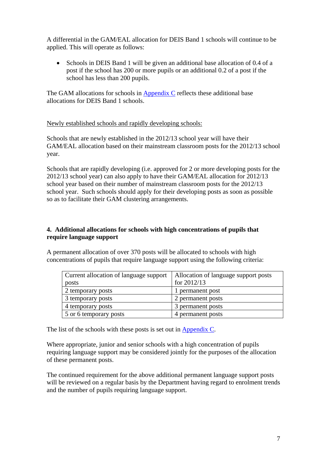A differential in the GAM/EAL allocation for DEIS Band 1 schools will continue to be applied. This will operate as follows:

• Schools in DEIS Band 1 will be given an additional base allocation of 0.4 of a post if the school has 200 or more pupils or an additional 0.2 of a post if the school has less than 200 pupils.

The GAM allocations for schools in [Appendix C](http://www.education.ie/servlet/blobservlet/cl0007_2012_ta_appendix_c.pdf) reflects these additional base allocations for DEIS Band 1 schools.

#### Newly established schools and rapidly developing schools:

Schools that are newly established in the 2012/13 school year will have their GAM/EAL allocation based on their mainstream classroom posts for the 2012/13 school year.

Schools that are rapidly developing (i.e. approved for 2 or more developing posts for the 2012/13 school year) can also apply to have their GAM/EAL allocation for 2012/13 school year based on their number of mainstream classroom posts for the 2012/13 school year. Such schools should apply for their developing posts as soon as possible so as to facilitate their GAM clustering arrangements.

#### **4. Additional allocations for schools with high concentrations of pupils that require language support**

A permanent allocation of over 370 posts will be allocated to schools with high concentrations of pupils that require language support using the following criteria:

| Current allocation of language support | Allocation of language support posts |
|----------------------------------------|--------------------------------------|
| posts                                  | for $2012/13$                        |
| 2 temporary posts                      | 1 permanent post                     |
| 3 temporary posts                      | 2 permanent posts                    |
| 4 temporary posts                      | 3 permanent posts                    |
| 5 or 6 temporary posts                 | 4 permanent posts                    |

The list of the schools with these posts is set out in [Appendix C](http://www.education.ie/servlet/blobservlet/cl0007_2012_ta_appendix_c.pdf).

Where appropriate, junior and senior schools with a high concentration of pupils requiring language support may be considered jointly for the purposes of the allocation of these permanent posts.

The continued requirement for the above additional permanent language support posts will be reviewed on a regular basis by the Department having regard to enrolment trends and the number of pupils requiring language support.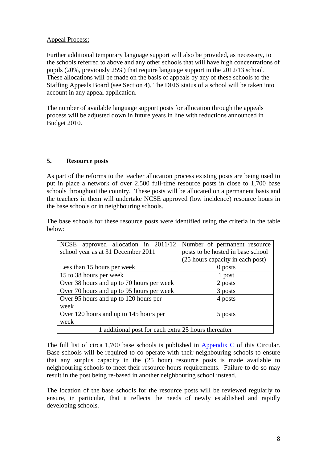#### Appeal Process:

Further additional temporary language support will also be provided, as necessary, to the schools referred to above and any other schools that will have high concentrations of pupils (20%, previously 25%) that require language support in the 2012/13 school. These allocations will be made on the basis of appeals by any of these schools to the Staffing Appeals Board (see Section 4). The DEIS status of a school will be taken into account in any appeal application.

The number of available language support posts for allocation through the appeals process will be adjusted down in future years in line with reductions announced in Budget 2010.

### **5. Resource posts**

As part of the reforms to the teacher allocation process existing posts are being used to put in place a network of over 2,500 full-time resource posts in close to 1,700 base schools throughout the country. These posts will be allocated on a permanent basis and the teachers in them will undertake NCSE approved (low incidence) resource hours in the base schools or in neighbouring schools.

The base schools for these resource posts were identified using the criteria in the table below:

| NCSE approved allocation in 2011/12                  | Number of permanent resource      |  |  |
|------------------------------------------------------|-----------------------------------|--|--|
| school year as at 31 December 2011                   | posts to be hosted in base school |  |  |
|                                                      | (25 hours capacity in each post)  |  |  |
| Less than 15 hours per week                          | 0 posts                           |  |  |
| 15 to 38 hours per week                              | 1 post                            |  |  |
| Over 38 hours and up to 70 hours per week            | 2 posts                           |  |  |
| Over 70 hours and up to 95 hours per week            | 3 posts                           |  |  |
| Over 95 hours and up to 120 hours per                | 4 posts                           |  |  |
| week                                                 |                                   |  |  |
| Over 120 hours and up to 145 hours per               | 5 posts                           |  |  |
| week                                                 |                                   |  |  |
| 1 additional post for each extra 25 hours thereafter |                                   |  |  |

The full list of circa 1,700 base schools is published in [Appendix C](http://www.education.ie/servlet/blobservlet/cl0007_2012_ta_appendix_c.pdf) of this Circular. Base schools will be required to co-operate with their neighbouring schools to ensure that any surplus capacity in the (25 hour) resource posts is made available to neighbouring schools to meet their resource hours requirements. Failure to do so may result in the post being re-based in another neighbouring school instead.

The location of the base schools for the resource posts will be reviewed regularly to ensure, in particular, that it reflects the needs of newly established and rapidly developing schools.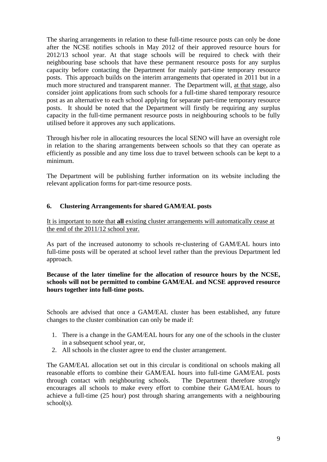The sharing arrangements in relation to these full-time resource posts can only be done after the NCSE notifies schools in May 2012 of their approved resource hours for 2012/13 school year. At that stage schools will be required to check with their neighbouring base schools that have these permanent resource posts for any surplus capacity before contacting the Department for mainly part-time temporary resource posts. This approach builds on the interim arrangements that operated in 2011 but in a much more structured and transparent manner. The Department will, at that stage, also consider joint applications from such schools for a full-time shared temporary resource post as an alternative to each school applying for separate part-time temporary resource posts. It should be noted that the Department will firstly be requiring any surplus capacity in the full-time permanent resource posts in neighbouring schools to be fully utilised before it approves any such applications.

Through his/her role in allocating resources the local SENO will have an oversight role in relation to the sharing arrangements between schools so that they can operate as efficiently as possible and any time loss due to travel between schools can be kept to a minimum.

The Department will be publishing further information on its website including the relevant application forms for part-time resource posts.

#### **6. Clustering Arrangements for shared GAM/EAL posts**

#### It is important to note that **all** existing cluster arrangements will automatically cease at the end of the 2011/12 school year.

As part of the increased autonomy to schools re-clustering of GAM/EAL hours into full-time posts will be operated at school level rather than the previous Department led approach.

#### **Because of the later timeline for the allocation of resource hours by the NCSE, schools will not be permitted to combine GAM/EAL and NCSE approved resource hours together into full-time posts.**

Schools are advised that once a GAM/EAL cluster has been established, any future changes to the cluster combination can only be made if:

- 1. There is a change in the GAM/EAL hours for any one of the schools in the cluster in a subsequent school year, or,
- 2. All schools in the cluster agree to end the cluster arrangement.

The GAM/EAL allocation set out in this circular is conditional on schools making all reasonable efforts to combine their GAM/EAL hours into full-time GAM/EAL posts through contact with neighbouring schools. The Department therefore strongly encourages all schools to make every effort to combine their GAM/EAL hours to achieve a full-time (25 hour) post through sharing arrangements with a neighbouring school(s).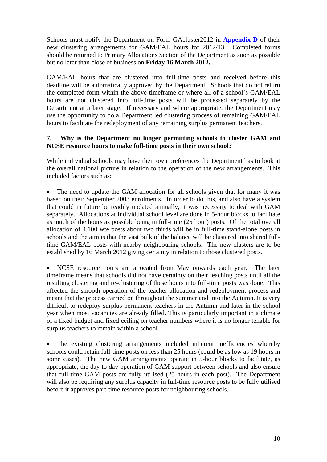Schools must notify the Department on Form GAcluster2012 in **[Appendix D](http://www.education.ie/servlet/blobservlet/cl0007_2012_ta_appendix_d.pdf)** of their new clustering arrangements for GAM/EAL hours for 2012/13. Completed forms should be returned to Primary Allocations Section of the Department as soon as possible but no later than close of business on **Friday 16 March 2012.** 

GAM/EAL hours that are clustered into full-time posts and received before this deadline will be automatically approved by the Department. Schools that do not return the completed form within the above timeframe or where all of a school's GAM/EAL hours are not clustered into full-time posts will be processed separately by the Department at a later stage. If necessary and where appropriate, the Department may use the opportunity to do a Department led clustering process of remaining GAM/EAL hours to facilitate the redeployment of any remaining surplus permanent teachers.

#### **7. Why is the Department no longer permitting schools to cluster GAM and NCSE resource hours to make full-time posts in their own school?**

While individual schools may have their own preferences the Department has to look at the overall national picture in relation to the operation of the new arrangements. This included factors such as:

The need to update the GAM allocation for all schools given that for many it was based on their September 2003 enrolments. In order to do this, and also have a system that could in future be readily updated annually, it was necessary to deal with GAM separately. Allocations at individual school level are done in 5-hour blocks to facilitate as much of the hours as possible being in full-time (25 hour) posts. Of the total overall allocation of 4,100 wte posts about two thirds will be in full-time stand-alone posts in schools and the aim is that the vast bulk of the balance will be clustered into shared fulltime GAM/EAL posts with nearby neighbouring schools. The new clusters are to be established by 16 March 2012 giving certainty in relation to those clustered posts.

• NCSE resource hours are allocated from May onwards each year. The later timeframe means that schools did not have certainty on their teaching posts until all the resulting clustering and re-clustering of these hours into full-time posts was done. This affected the smooth operation of the teacher allocation and redeployment process and meant that the process carried on throughout the summer and into the Autumn. It is very difficult to redeploy surplus permanent teachers in the Autumn and later in the school year when most vacancies are already filled. This is particularly important in a climate of a fixed budget and fixed ceiling on teacher numbers where it is no longer tenable for surplus teachers to remain within a school.

The existing clustering arrangements included inherent inefficiencies whereby schools could retain full-time posts on less than 25 hours (could be as low as 19 hours in some cases). The new GAM arrangements operate in 5-hour blocks to facilitate, as appropriate, the day to day operation of GAM support between schools and also ensure that full-time GAM posts are fully utilised (25 hours in each post). The Department will also be requiring any surplus capacity in full-time resource posts to be fully utilised before it approves part-time resource posts for neighbouring schools.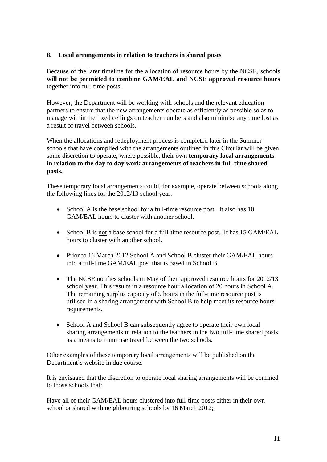#### **8. Local arrangements in relation to teachers in shared posts**

Because of the later timeline for the allocation of resource hours by the NCSE, schools **will not be permitted to combine GAM/EAL and NCSE approved resource hours** together into full-time posts.

However, the Department will be working with schools and the relevant education partners to ensure that the new arrangements operate as efficiently as possible so as to manage within the fixed ceilings on teacher numbers and also minimise any time lost as a result of travel between schools.

When the allocations and redeployment process is completed later in the Summer schools that have complied with the arrangements outlined in this Circular will be given some discretion to operate, where possible, their own **temporary local arrangements in relation to the day to day work arrangements of teachers in full-time shared posts.** 

These temporary local arrangements could, for example, operate between schools along the following lines for the 2012/13 school year:

- School A is the base school for a full-time resource post. It also has 10 GAM/EAL hours to cluster with another school.
- School B is not a base school for a full-time resource post. It has 15 GAM/EAL hours to cluster with another school.
- Prior to 16 March 2012 School A and School B cluster their GAM/EAL hours into a full-time GAM/EAL post that is based in School B.
- The NCSE notifies schools in May of their approved resource hours for 2012/13 school year. This results in a resource hour allocation of 20 hours in School A. The remaining surplus capacity of 5 hours in the full-time resource post is utilised in a sharing arrangement with School B to help meet its resource hours requirements.
- School A and School B can subsequently agree to operate their own local sharing arrangements in relation to the teachers in the two full-time shared posts as a means to minimise travel between the two schools.

Other examples of these temporary local arrangements will be published on the Department's website in due course.

It is envisaged that the discretion to operate local sharing arrangements will be confined to those schools that:

Have all of their GAM/EAL hours clustered into full-time posts either in their own school or shared with neighbouring schools by 16 March 2012;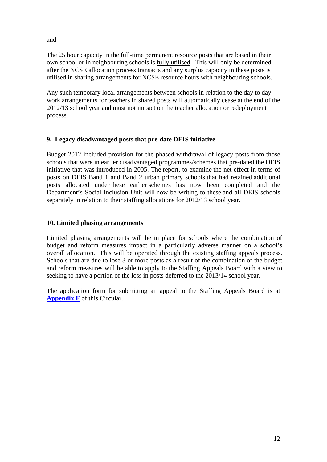and

The 25 hour capacity in the full-time permanent resource posts that are based in their own school or in neighbouring schools is fully utilised. This will only be determined after the NCSE allocation process transacts and any surplus capacity in these posts is utilised in sharing arrangements for NCSE resource hours with neighbouring schools.

Any such temporary local arrangements between schools in relation to the day to day work arrangements for teachers in shared posts will automatically cease at the end of the 2012/13 school year and must not impact on the teacher allocation or redeployment process.

### **9. Legacy disadvantaged posts that pre-date DEIS initiative**

Budget 2012 included provision for the phased withdrawal of legacy posts from those schools that were in earlier disadvantaged programmes/schemes that pre-dated the DEIS initiative that was introduced in 2005. The report, to examine the net effect in terms of posts on DEIS Band 1 and Band 2 urban primary schools that had retained additional posts allocated under these earlier schemes has now been completed and the Department's Social Inclusion Unit will now be writing to these and all DEIS schools separately in relation to their staffing allocations for 2012/13 school year.

### **10. Limited phasing arrangements**

Limited phasing arrangements will be in place for schools where the combination of budget and reform measures impact in a particularly adverse manner on a school's overall allocation. This will be operated through the existing staffing appeals process. Schools that are due to lose 3 or more posts as a result of the combination of the budget and reform measures will be able to apply to the Staffing Appeals Board with a view to seeking to have a portion of the loss in posts deferred to the 2013/14 school year.

The application form for submitting an appeal to the Staffing Appeals Board is at **[Appendix F](http://www.education.ie/servlet/blobservlet/cl0007_2012_ta_appendix_f.pdf)** of this Circular.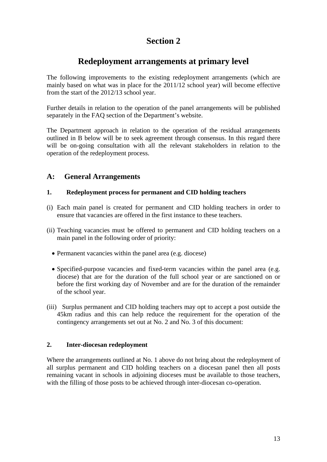# **Redeployment arrangements at primary level**

The following improvements to the existing redeployment arrangements (which are mainly based on what was in place for the 2011/12 school year) will become effective from the start of the 2012/13 school year.

Further details in relation to the operation of the panel arrangements will be published separately in the FAQ section of the Department's website.

The Department approach in relation to the operation of the residual arrangements outlined in B below will be to seek agreement through consensus. In this regard there will be on-going consultation with all the relevant stakeholders in relation to the operation of the redeployment process.

## **A: General Arrangements**

#### **1. Redeployment process for permanent and CID holding teachers**

- (i) Each main panel is created for permanent and CID holding teachers in order to ensure that vacancies are offered in the first instance to these teachers.
- (ii) Teaching vacancies must be offered to permanent and CID holding teachers on a main panel in the following order of priority:
	- Permanent vacancies within the panel area (e.g. diocese)
	- Specified-purpose vacancies and fixed-term vacancies within the panel area (e.g. diocese) that are for the duration of the full school year or are sanctioned on or before the first working day of November and are for the duration of the remainder of the school year.
- (iii) Surplus permanent and CID holding teachers may opt to accept a post outside the 45km radius and this can help reduce the requirement for the operation of the contingency arrangements set out at No. 2 and No. 3 of this document:

#### **2. Inter-diocesan redeployment**

Where the arrangements outlined at No. 1 above do not bring about the redeployment of all surplus permanent and CID holding teachers on a diocesan panel then all posts remaining vacant in schools in adjoining dioceses must be available to those teachers, with the filling of those posts to be achieved through inter-diocesan co-operation.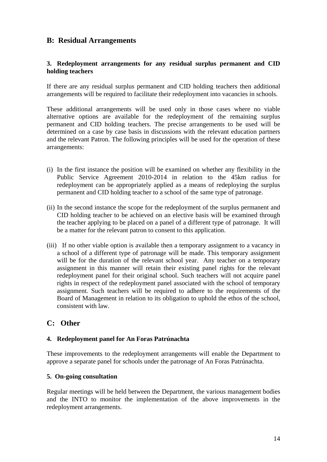## **B: Residual Arrangements**

#### **3. Redeployment arrangements for any residual surplus permanent and CID holding teachers**

If there are any residual surplus permanent and CID holding teachers then additional arrangements will be required to facilitate their redeployment into vacancies in schools.

These additional arrangements will be used only in those cases where no viable alternative options are available for the redeployment of the remaining surplus permanent and CID holding teachers. The precise arrangements to be used will be determined on a case by case basis in discussions with the relevant education partners and the relevant Patron. The following principles will be used for the operation of these arrangements:

- (i) In the first instance the position will be examined on whether any flexibility in the Public Service Agreement 2010-2014 in relation to the 45km radius for redeployment can be appropriately applied as a means of redeploying the surplus permanent and CID holding teacher to a school of the same type of patronage.
- (ii) In the second instance the scope for the redeployment of the surplus permanent and CID holding teacher to be achieved on an elective basis will be examined through the teacher applying to be placed on a panel of a different type of patronage. It will be a matter for the relevant patron to consent to this application.
- (iii) If no other viable option is available then a temporary assignment to a vacancy in a school of a different type of patronage will be made. This temporary assignment will be for the duration of the relevant school year. Any teacher on a temporary assignment in this manner will retain their existing panel rights for the relevant redeployment panel for their original school. Such teachers will not acquire panel rights in respect of the redeployment panel associated with the school of temporary assignment. Such teachers will be required to adhere to the requirements of the Board of Management in relation to its obligation to uphold the ethos of the school, consistent with law.

## **C: Other**

#### **4. Redeployment panel for An Foras Patrúnachta**

These improvements to the redeployment arrangements will enable the Department to approve a separate panel for schools under the patronage of An Foras Patrúnachta.

#### **5. On-going consultation**

Regular meetings will be held between the Department, the various management bodies and the INTO to monitor the implementation of the above improvements in the redeployment arrangements.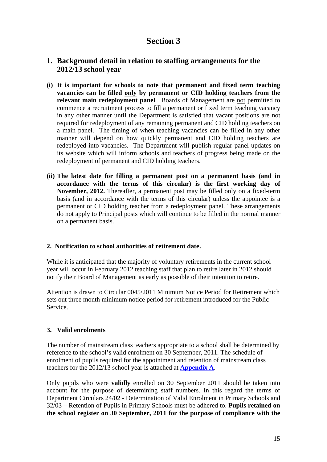## **1. Background detail in relation to staffing arrangements for the 2012/13 school year**

- **(i) It is important for schools to note that permanent and fixed term teaching vacancies can be filled only by permanent or CID holding teachers from the relevant main redeployment panel**. Boards of Management are not permitted to commence a recruitment process to fill a permanent or fixed term teaching vacancy in any other manner until the Department is satisfied that vacant positions are not required for redeployment of any remaining permanent and CID holding teachers on a main panel. The timing of when teaching vacancies can be filled in any other manner will depend on how quickly permanent and CID holding teachers are redeployed into vacancies. The Department will publish regular panel updates on its website which will inform schools and teachers of progress being made on the redeployment of permanent and CID holding teachers.
- **(ii) The latest date for filling a permanent post on a permanent basis (and in accordance with the terms of this circular) is the first working day of November, 2012.** Thereafter, a permanent post may be filled only on a fixed-term basis (and in accordance with the terms of this circular) unless the appointee is a permanent or CID holding teacher from a redeployment panel. These arrangements do not apply to Principal posts which will continue to be filled in the normal manner on a permanent basis.

#### **2. Notification to school authorities of retirement date**.

While it is anticipated that the majority of voluntary retirements in the current school year will occur in February 2012 teaching staff that plan to retire later in 2012 should notify their Board of Management as early as possible of their intention to retire.

Attention is drawn to Circular 0045/2011 Minimum Notice Period for Retirement which sets out three month minimum notice period for retirement introduced for the Public Service.

#### **3. Valid enrolments**

The number of mainstream class teachers appropriate to a school shall be determined by reference to the school's valid enrolment on 30 September, 2011. The schedule of enrolment of pupils required for the appointment and retention of mainstream class teachers for the 2012/13 school year is attached at **[Appendix A](http://www.education.ie/servlet/blobservlet/cl0007_2012_ta_appendix_a.pdf)**.

Only pupils who were **validly** enrolled on 30 September 2011 should be taken into account for the purpose of determining staff numbers. In this regard the terms of Department Circulars 24/02 - Determination of Valid Enrolment in Primary Schools and 32/03 – Retention of Pupils in Primary Schools must be adhered to. **Pupils retained on the school register on 30 September, 2011 for the purpose of compliance with the**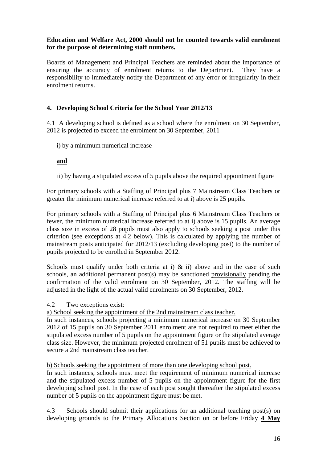#### **Education and Welfare Act, 2000 should not be counted towards valid enrolment for the purpose of determining staff numbers.**

Boards of Management and Principal Teachers are reminded about the importance of ensuring the accuracy of enrolment returns to the Department. They have a responsibility to immediately notify the Department of any error or irregularity in their enrolment returns.

## **4. Developing School Criteria for the School Year 2012/13**

4.1 A developing school is defined as a school where the enrolment on 30 September, 2012 is projected to exceed the enrolment on 30 September, 2011

i) by a minimum numerical increase

### **and**

ii) by having a stipulated excess of 5 pupils above the required appointment figure

For primary schools with a Staffing of Principal plus 7 Mainstream Class Teachers or greater the minimum numerical increase referred to at i) above is 25 pupils.

For primary schools with a Staffing of Principal plus 6 Mainstream Class Teachers or fewer, the minimum numerical increase referred to at i) above is 15 pupils. An average class size in excess of 28 pupils must also apply to schools seeking a post under this criterion (see exceptions at 4.2 below). This is calculated by applying the number of mainstream posts anticipated for 2012/13 (excluding developing post) to the number of pupils projected to be enrolled in September 2012.

Schools must qualify under both criteria at i)  $\&$  ii) above and in the case of such schools, an additional permanent post(s) may be sanctioned provisionally pending the confirmation of the valid enrolment on 30 September, 2012. The staffing will be adjusted in the light of the actual valid enrolments on 30 September, 2012.

4.2 Two exceptions exist:

a) School seeking the appointment of the 2nd mainstream class teacher.

In such instances, schools projecting a minimum numerical increase on 30 September 2012 of 15 pupils on 30 September 2011 enrolment are not required to meet either the stipulated excess number of 5 pupils on the appointment figure or the stipulated average class size. However, the minimum projected enrolment of 51 pupils must be achieved to secure a 2nd mainstream class teacher.

b) Schools seeking the appointment of more than one developing school post.

In such instances, schools must meet the requirement of minimum numerical increase and the stipulated excess number of 5 pupils on the appointment figure for the first developing school post. In the case of each post sought thereafter the stipulated excess number of 5 pupils on the appointment figure must be met.

4.3 Schools should submit their applications for an additional teaching post(s) on developing grounds to the Primary Allocations Section on or before Friday **4 May**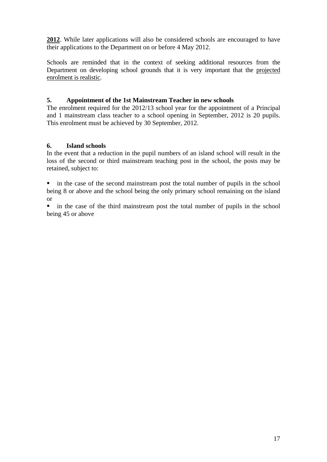**2012**. While later applications will also be considered schools are encouraged to have their applications to the Department on or before 4 May 2012.

Schools are reminded that in the context of seeking additional resources from the Department on developing school grounds that it is very important that the projected enrolment is realistic.

#### **5. Appointment of the 1st Mainstream Teacher in new schools**

The enrolment required for the 2012/13 school year for the appointment of a Principal and 1 mainstream class teacher to a school opening in September, 2012 is 20 pupils. This enrolment must be achieved by 30 September, 2012.

#### **6. Island schools**

In the event that a reduction in the pupil numbers of an island school will result in the loss of the second or third mainstream teaching post in the school, the posts may be retained, subject to:

 in the case of the second mainstream post the total number of pupils in the school being 8 or above and the school being the only primary school remaining on the island or

 in the case of the third mainstream post the total number of pupils in the school being 45 or above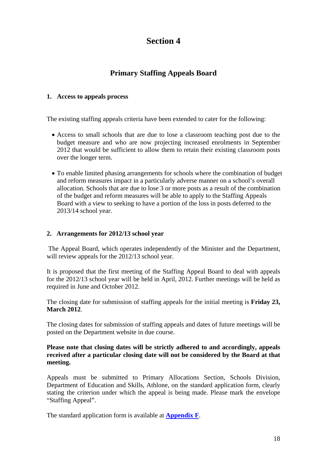# **Primary Staffing Appeals Board**

#### **1. Access to appeals process**

The existing staffing appeals criteria have been extended to cater for the following:

- Access to small schools that are due to lose a classroom teaching post due to the budget measure and who are now projecting increased enrolments in September 2012 that would be sufficient to allow them to retain their existing classroom posts over the longer term.
- To enable limited phasing arrangements for schools where the combination of budget and reform measures impact in a particularly adverse manner on a school's overall allocation. Schools that are due to lose 3 or more posts as a result of the combination of the budget and reform measures will be able to apply to the Staffing Appeals Board with a view to seeking to have a portion of the loss in posts deferred to the 2013/14 school year.

#### **2. Arrangements for 2012/13 school year**

The Appeal Board, which operates independently of the Minister and the Department, will review appeals for the 2012/13 school year.

It is proposed that the first meeting of the Staffing Appeal Board to deal with appeals for the 2012/13 school year will be held in April, 2012. Further meetings will be held as required in June and October 2012.

The closing date for submission of staffing appeals for the initial meeting is **Friday 23, March 2012**.

The closing dates for submission of staffing appeals and dates of future meetings will be posted on the Department website in due course.

#### **Please note that closing dates will be strictly adhered to and accordingly, appeals received after a particular closing date will not be considered by the Board at that meeting.**

Appeals must be submitted to Primary Allocations Section, Schools Division, Department of Education and Skills, Athlone, on the standard application form, clearly stating the criterion under which the appeal is being made. Please mark the envelope "Staffing Appeal".

The standard application form is available at **[Appendix F](http://www.education.ie/servlet/blobservlet/cl0007_2012_ta_appendix_f.pdf)**.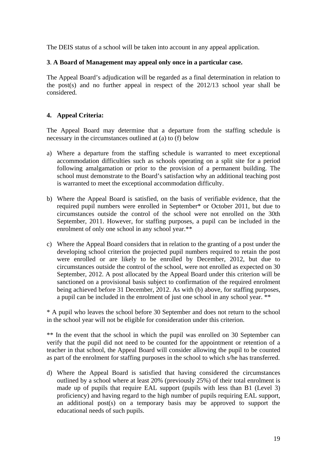The DEIS status of a school will be taken into account in any appeal application.

#### **3**. **A Board of Management may appeal only once in a particular case.**

The Appeal Board's adjudication will be regarded as a final determination in relation to the post(s) and no further appeal in respect of the 2012/13 school year shall be considered.

#### **4. Appeal Criteria:**

The Appeal Board may determine that a departure from the staffing schedule is necessary in the circumstances outlined at (a) to (f) below

- a) Where a departure from the staffing schedule is warranted to meet exceptional accommodation difficulties such as schools operating on a split site for a period following amalgamation or prior to the provision of a permanent building. The school must demonstrate to the Board's satisfaction why an additional teaching post is warranted to meet the exceptional accommodation difficulty.
- b) Where the Appeal Board is satisfied, on the basis of verifiable evidence, that the required pupil numbers were enrolled in September\* or October 2011, but due to circumstances outside the control of the school were not enrolled on the 30th September, 2011. However, for staffing purposes, a pupil can be included in the enrolment of only one school in any school year.\*\*
- c) Where the Appeal Board considers that in relation to the granting of a post under the developing school criterion the projected pupil numbers required to retain the post were enrolled or are likely to be enrolled by December, 2012, but due to circumstances outside the control of the school, were not enrolled as expected on 30 September, 2012. A post allocated by the Appeal Board under this criterion will be sanctioned on a provisional basis subject to confirmation of the required enrolment being achieved before 31 December, 2012. As with (b) above, for staffing purposes, a pupil can be included in the enrolment of just one school in any school year. \*\*

\* A pupil who leaves the school before 30 September and does not return to the school in the school year will not be eligible for consideration under this criterion.

\*\* In the event that the school in which the pupil was enrolled on 30 September can verify that the pupil did not need to be counted for the appointment or retention of a teacher in that school, the Appeal Board will consider allowing the pupil to be counted as part of the enrolment for staffing purposes in the school to which s/he has transferred.

d) Where the Appeal Board is satisfied that having considered the circumstances outlined by a school where at least 20% (previously 25%) of their total enrolment is made up of pupils that require EAL support (pupils with less than B1 (Level 3) proficiency) and having regard to the high number of pupils requiring EAL support, an additional post(s) on a temporary basis may be approved to support the educational needs of such pupils.